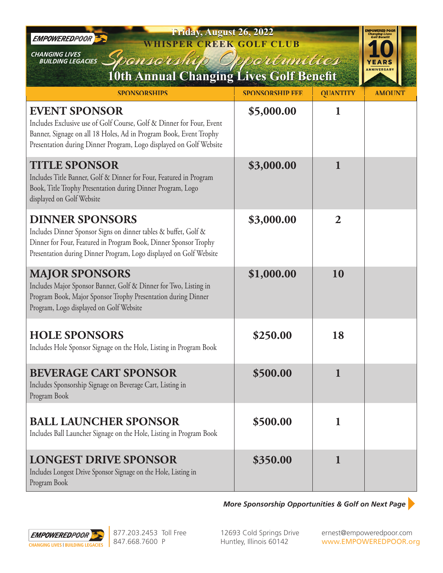| Friday, August 26, 2022<br>EMPOWEREDPOOR<br><b>WHISPER CREEK GOLF CLUB</b><br><b>CHANGING LIVES</b><br>ponsershi<br>odróvnities<br><b>BUILDING LEGACIES</b>                                                                             |                        |                 |               |  |
|-----------------------------------------------------------------------------------------------------------------------------------------------------------------------------------------------------------------------------------------|------------------------|-----------------|---------------|--|
| 10th Annual Changing Lives Golf Benefit                                                                                                                                                                                                 |                        |                 |               |  |
| <b>SPONSORSHIPS</b>                                                                                                                                                                                                                     | <b>SPONSORSHIP FEE</b> | <b>QUANTITY</b> | <b>AMOUNT</b> |  |
| <b>EVENT SPONSOR</b><br>Includes Exclusive use of Golf Course, Golf & Dinner for Four, Event<br>Banner, Signage on all 18 Holes, Ad in Program Book, Event Trophy<br>Presentation during Dinner Program, Logo displayed on Golf Website | \$5,000.00             | 1               |               |  |
| <b>TITLE SPONSOR</b><br>Includes Title Banner, Golf & Dinner for Four, Featured in Program<br>Book, Title Trophy Presentation during Dinner Program, Logo<br>displayed on Golf Website                                                  | \$3,000.00             | $\mathbf{1}$    |               |  |
| <b>DINNER SPONSORS</b><br>Includes Dinner Sponsor Signs on dinner tables & buffet, Golf &<br>Dinner for Four, Featured in Program Book, Dinner Sponsor Trophy<br>Presentation during Dinner Program, Logo displayed on Golf Website     | \$3,000.00             | $\overline{2}$  |               |  |
| <b>MAJOR SPONSORS</b><br>Includes Major Sponsor Banner, Golf & Dinner for Two, Listing in<br>Program Book, Major Sponsor Trophy Presentation during Dinner<br>Program, Logo displayed on Golf Website                                   | \$1,000.00             | 10              |               |  |
| <b>HOLE SPONSORS</b><br>Includes Hole Sponsor Signage on the Hole, Listing in Program Book                                                                                                                                              | \$250.00               | 18              |               |  |
| <b>BEVERAGE CART SPONSOR</b><br>Includes Sponsorship Signage on Beverage Cart, Listing in<br>Program Book                                                                                                                               | \$500.00               | $\mathbf{1}$    |               |  |
| <b>BALL LAUNCHER SPONSOR</b><br>Includes Ball Launcher Signage on the Hole, Listing in Program Book                                                                                                                                     | \$500.00               | $\mathbf{1}$    |               |  |
| <b>LONGEST DRIVE SPONSOR</b><br>Includes Longest Drive Sponsor Signage on the Hole, Listing in<br>Program Book                                                                                                                          | \$350.00               | $\mathbf{1}$    |               |  |

*More Sponsorship Opportunities & Golf on Next Page*